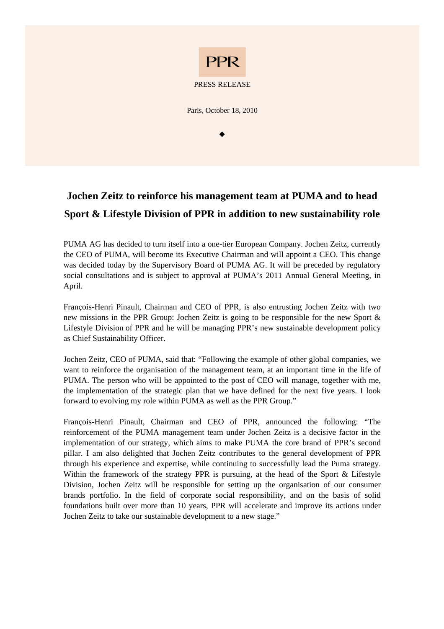

## **Jochen Zeitz to reinforce his management team at PUMA and to head Sport & Lifestyle Division of PPR in addition to new sustainability role**

PUMA AG has decided to turn itself into a one-tier European Company. Jochen Zeitz, currently the CEO of PUMA, will become its Executive Chairman and will appoint a CEO. This change was decided today by the Supervisory Board of PUMA AG. It will be preceded by regulatory social consultations and is subject to approval at PUMA's 2011 Annual General Meeting, in April.

François-Henri Pinault, Chairman and CEO of PPR, is also entrusting Jochen Zeitz with two new missions in the PPR Group: Jochen Zeitz is going to be responsible for the new Sport & Lifestyle Division of PPR and he will be managing PPR's new sustainable development policy as Chief Sustainability Officer.

Jochen Zeitz, CEO of PUMA, said that: "Following the example of other global companies, we want to reinforce the organisation of the management team, at an important time in the life of PUMA. The person who will be appointed to the post of CEO will manage, together with me, the implementation of the strategic plan that we have defined for the next five years. I look forward to evolving my role within PUMA as well as the PPR Group."

François-Henri Pinault, Chairman and CEO of PPR, announced the following: "The reinforcement of the PUMA management team under Jochen Zeitz is a decisive factor in the implementation of our strategy, which aims to make PUMA the core brand of PPR's second pillar. I am also delighted that Jochen Zeitz contributes to the general development of PPR through his experience and expertise, while continuing to successfully lead the Puma strategy. Within the framework of the strategy PPR is pursuing, at the head of the Sport & Lifestyle Division, Jochen Zeitz will be responsible for setting up the organisation of our consumer brands portfolio. In the field of corporate social responsibility, and on the basis of solid foundations built over more than 10 years, PPR will accelerate and improve its actions under Jochen Zeitz to take our sustainable development to a new stage."